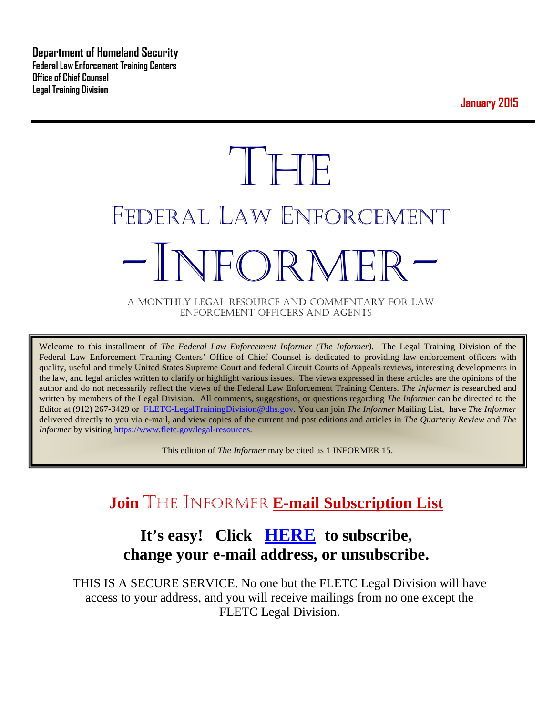**Department of Homeland Security Federal Law Enforcement Training Centers Office of Chief Counsel Legal Training Division** 

**January 2015**

# **THE** FEDERAL LAW ENFORCEMENT -INFORMER- A MONTHLY LEGAL RESOURCE AND COMMENTARY FOR LAW

ENFORCEMENT OFFICERS AND AGENTS

Welcome to this installment of *The Federal Law Enforcement Informer (The Informer).* The Legal Training Division of the Federal Law Enforcement Training Centers' Office of Chief Counsel is dedicated to providing law enforcement officers with quality, useful and timely United States Supreme Court and federal Circuit Courts of Appeals reviews, interesting developments in the law, and legal articles written to clarify or highlight various issues. The views expressed in these articles are the opinions of the author and do not necessarily reflect the views of the Federal Law Enforcement Training Centers. *The Informer* is researched and written by members of the Legal Division. All comments, suggestions, or questions regarding *The Informer* can be directed to the Editor at (912) 267-3429 or [FLETC-LegalTrainingDivision@dhs.gov.](mailto:FLETC-LegalTrainingDivision@dhs.gov) You can join *The Informer* Mailing List, have *The Informer* delivered directly to you via e-mail, and view copies of the current and past editions and articles in *The Quarterly Review* and *The Informer* by visiting [https://www.fletc.gov/legal-resources.](https://www.fletc.gov/legal-resources)

This edition of *The Informer* may be cited as 1 INFORMER 15.

# **Join** THE INFORMER **E-mail Subscription List**

# **It's easy! Click [HERE](http://peach.ease.lsoft.com/scripts/wa.exe?SUBED1=fletclgd&A=1) to subscribe, change your e-mail address, or unsubscribe.**

THIS IS A SECURE SERVICE. No one but the FLETC Legal Division will have access to your address, and you will receive mailings from no one except the FLETC Legal Division.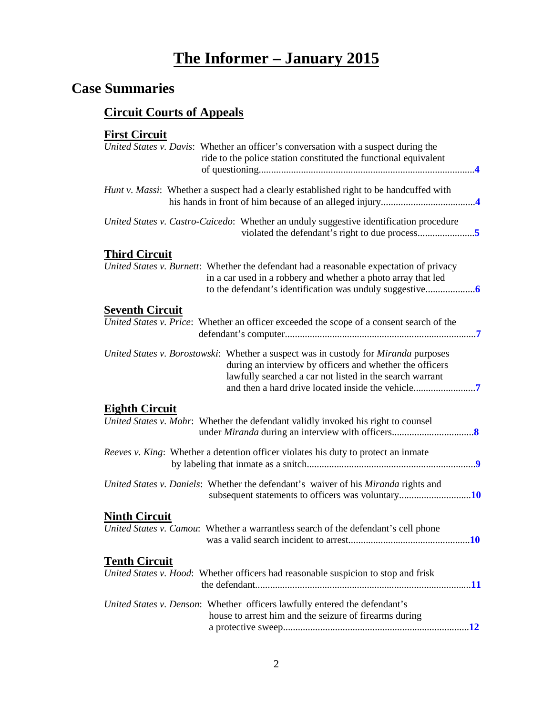# **The Informer – January 2015**

# **Case Summaries**

# **[Circuit Courts of Appeals](#page-3-0)**

#### **[First Circuit](#page-3-1)**

| United States v. Davis: Whether an officer's conversation with a suspect during the<br>ride to the police station constituted the functional equivalent                                                     |
|-------------------------------------------------------------------------------------------------------------------------------------------------------------------------------------------------------------|
| Hunt v. Massi: Whether a suspect had a clearly established right to be handcuffed with                                                                                                                      |
| United States v. Castro-Caicedo: Whether an unduly suggestive identification procedure                                                                                                                      |
| <b>Third Circuit</b>                                                                                                                                                                                        |
| United States v. Burnett: Whether the defendant had a reasonable expectation of privacy<br>in a car used in a robbery and whether a photo array that led                                                    |
| <b>Seventh Circuit</b>                                                                                                                                                                                      |
| United States v. Price: Whether an officer exceeded the scope of a consent search of the                                                                                                                    |
| United States v. Borostowski: Whether a suspect was in custody for Miranda purposes<br>during an interview by officers and whether the officers<br>lawfully searched a car not listed in the search warrant |
| <b>Eighth Circuit</b>                                                                                                                                                                                       |
| United States v. Mohr: Whether the defendant validly invoked his right to counsel                                                                                                                           |
| Reeves v. King: Whether a detention officer violates his duty to protect an inmate                                                                                                                          |
| United States v. Daniels: Whether the defendant's waiver of his Miranda rights and<br>subsequent statements to officers was voluntary10                                                                     |
| <b>Ninth Circuit</b>                                                                                                                                                                                        |
| United States v. Camou: Whether a warrantless search of the defendant's cell phone                                                                                                                          |
| <b>Tenth Circuit</b>                                                                                                                                                                                        |
| United States v. Hood: Whether officers had reasonable suspicion to stop and frisk                                                                                                                          |
| United States v. Denson: Whether officers lawfully entered the defendant's<br>house to arrest him and the seizure of firearms during                                                                        |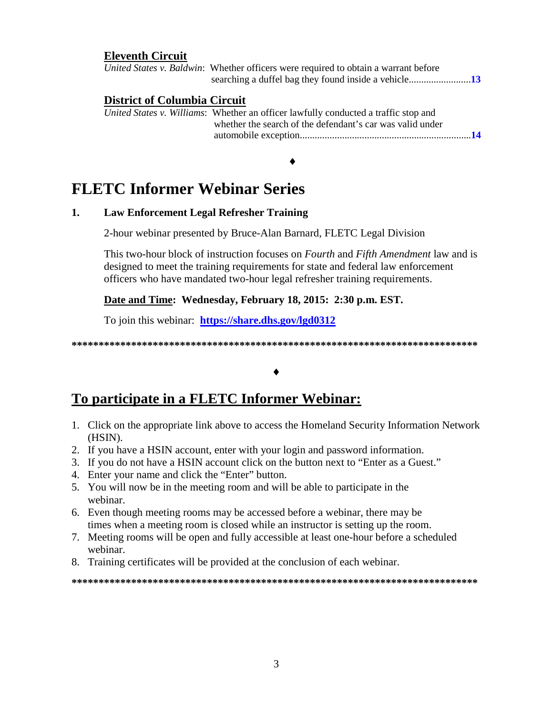#### **Eleventh Circuit**

|                                     | United States v. Baldwin: Whether officers were required to obtain a warrant before                                                              |             |
|-------------------------------------|--------------------------------------------------------------------------------------------------------------------------------------------------|-------------|
| <b>District of Columbia Circuit</b> | United States v. Williams: Whether an officer lawfully conducted a traffic stop and<br>whether the search of the defendant's car was valid under | $\sqrt{14}$ |

♦

# **FLETC Informer Webinar Series**

#### **1. Law Enforcement Legal Refresher Training**

2-hour webinar presented by Bruce-Alan Barnard, FLETC Legal Division

This two-hour block of instruction focuses on *Fourth* and *Fifth Amendment* law and is designed to meet the training requirements for state and federal law enforcement officers who have mandated two-hour legal refresher training requirements.

#### **Date and Time: Wednesday, February 18, 2015: 2:30 p.m. EST.**

To join this webinar: **<https://share.dhs.gov/lgd0312>**

**\*\*\*\*\*\*\*\*\*\*\*\*\*\*\*\*\*\*\*\*\*\*\*\*\*\*\*\*\*\*\*\*\*\*\*\*\*\*\*\*\*\*\*\*\*\*\*\*\*\*\*\*\*\*\*\*\*\*\*\*\*\*\*\*\*\*\*\*\*\*\*\*\*\*\***

#### ♦

## **To participate in a FLETC Informer Webinar:**

- 1. Click on the appropriate link above to access the Homeland Security Information Network (HSIN).
- 2. If you have a HSIN account, enter with your login and password information.
- 3. If you do not have a HSIN account click on the button next to "Enter as a Guest."
- 4. Enter your name and click the "Enter" button.
- 5. You will now be in the meeting room and will be able to participate in the webinar.
- 6. Even though meeting rooms may be accessed before a webinar, there may be times when a meeting room is closed while an instructor is setting up the room.
- 7. Meeting rooms will be open and fully accessible at least one-hour before a scheduled webinar.
- 8. Training certificates will be provided at the conclusion of each webinar.

**\*\*\*\*\*\*\*\*\*\*\*\*\*\*\*\*\*\*\*\*\*\*\*\*\*\*\*\*\*\*\*\*\*\*\*\*\*\*\*\*\*\*\*\*\*\*\*\*\*\*\*\*\*\*\*\*\*\*\*\*\*\*\*\*\*\*\*\*\*\*\*\*\*\*\***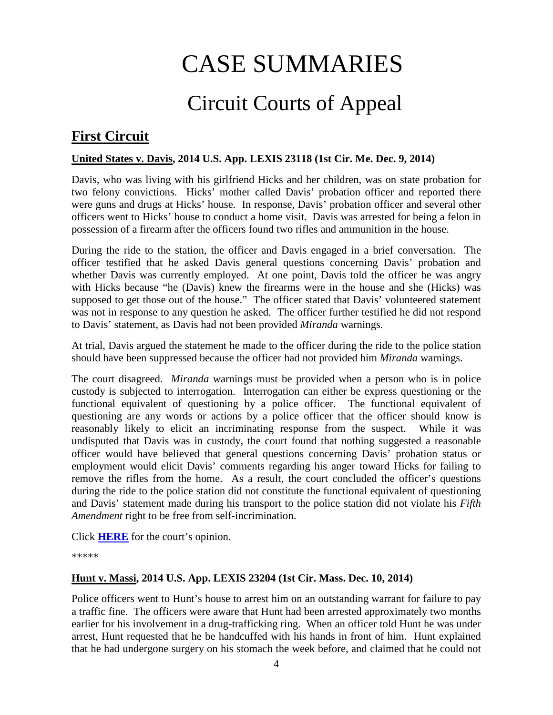# CASE SUMMARIES

# Circuit Courts of Appeal

# <span id="page-3-1"></span><span id="page-3-0"></span>**First Circuit**

#### <span id="page-3-2"></span>**United States v. Davis, 2014 U.S. App. LEXIS 23118 (1st Cir. Me. Dec. 9, 2014)**

Davis, who was living with his girlfriend Hicks and her children, was on state probation for two felony convictions. Hicks' mother called Davis' probation officer and reported there were guns and drugs at Hicks' house. In response, Davis' probation officer and several other officers went to Hicks' house to conduct a home visit. Davis was arrested for being a felon in possession of a firearm after the officers found two rifles and ammunition in the house.

During the ride to the station, the officer and Davis engaged in a brief conversation. The officer testified that he asked Davis general questions concerning Davis' probation and whether Davis was currently employed. At one point, Davis told the officer he was angry with Hicks because "he (Davis) knew the firearms were in the house and she (Hicks) was supposed to get those out of the house." The officer stated that Davis' volunteered statement was not in response to any question he asked. The officer further testified he did not respond to Davis' statement, as Davis had not been provided *Miranda* warnings.

At trial, Davis argued the statement he made to the officer during the ride to the police station should have been suppressed because the officer had not provided him *Miranda* warnings.

The court disagreed. *Miranda* warnings must be provided when a person who is in police custody is subjected to interrogation. Interrogation can either be express questioning or the functional equivalent of questioning by a police officer. The functional equivalent of questioning are any words or actions by a police officer that the officer should know is reasonably likely to elicit an incriminating response from the suspect. While it was undisputed that Davis was in custody, the court found that nothing suggested a reasonable officer would have believed that general questions concerning Davis' probation status or employment would elicit Davis' comments regarding his anger toward Hicks for failing to remove the rifles from the home. As a result, the court concluded the officer's questions during the ride to the police station did not constitute the functional equivalent of questioning and Davis' statement made during his transport to the police station did not violate his *Fifth Amendment* right to be free from self-incrimination.

Click **[HERE](http://cases.justia.com/federal/appellate-courts/ca1/13-2292/13-2292-2014-12-09.pdf?ts=1418148030)** for the court's opinion.

\*\*\*\*\*

#### <span id="page-3-3"></span>**Hunt v. Massi, 2014 U.S. App. LEXIS 23204 (1st Cir. Mass. Dec. 10, 2014)**

Police officers went to Hunt's house to arrest him on an outstanding warrant for failure to pay a traffic fine. The officers were aware that Hunt had been arrested approximately two months earlier for his involvement in a drug-trafficking ring. When an officer told Hunt he was under arrest, Hunt requested that he be handcuffed with his hands in front of him. Hunt explained that he had undergone surgery on his stomach the week before, and claimed that he could not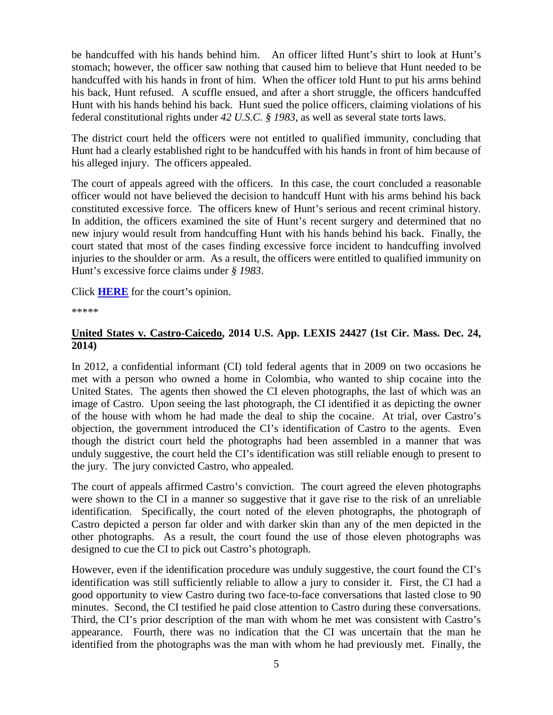be handcuffed with his hands behind him. An officer lifted Hunt's shirt to look at Hunt's stomach; however, the officer saw nothing that caused him to believe that Hunt needed to be handcuffed with his hands in front of him. When the officer told Hunt to put his arms behind his back, Hunt refused. A scuffle ensued, and after a short struggle, the officers handcuffed Hunt with his hands behind his back. Hunt sued the police officers, claiming violations of his federal constitutional rights under *42 U.S.C. § 1983*, as well as several state torts laws.

The district court held the officers were not entitled to qualified immunity, concluding that Hunt had a clearly established right to be handcuffed with his hands in front of him because of his alleged injury. The officers appealed.

The court of appeals agreed with the officers. In this case, the court concluded a reasonable officer would not have believed the decision to handcuff Hunt with his arms behind his back constituted excessive force. The officers knew of Hunt's serious and recent criminal history. In addition, the officers examined the site of Hunt's recent surgery and determined that no new injury would result from handcuffing Hunt with his hands behind his back. Finally, the court stated that most of the cases finding excessive force incident to handcuffing involved injuries to the shoulder or arm. As a result, the officers were entitled to qualified immunity on Hunt's excessive force claims under *§ 1983*.

Click **[HERE](http://cases.justia.com/federal/appellate-courts/ca1/14-1379/14-1379-2014-12-10.pdf?ts=1418239808)** for the court's opinion.

\*\*\*\*\*

#### <span id="page-4-1"></span><span id="page-4-0"></span>**United States v. Castro-Caicedo, 2014 U.S. App. LEXIS 24427 (1st Cir. Mass. Dec. 24, 2014)**

In 2012, a confidential informant (CI) told federal agents that in 2009 on two occasions he met with a person who owned a home in Colombia, who wanted to ship cocaine into the United States. The agents then showed the CI eleven photographs, the last of which was an image of Castro. Upon seeing the last photograph, the CI identified it as depicting the owner of the house with whom he had made the deal to ship the cocaine. At trial, over Castro's objection, the government introduced the CI's identification of Castro to the agents. Even though the district court held the photographs had been assembled in a manner that was unduly suggestive, the court held the CI's identification was still reliable enough to present to the jury. The jury convicted Castro, who appealed.

The court of appeals affirmed Castro's conviction. The court agreed the eleven photographs were shown to the CI in a manner so suggestive that it gave rise to the risk of an unreliable identification. Specifically, the court noted of the eleven photographs, the photograph of Castro depicted a person far older and with darker skin than any of the men depicted in the other photographs. As a result, the court found the use of those eleven photographs was designed to cue the CI to pick out Castro's photograph.

However, even if the identification procedure was unduly suggestive, the court found the CI's identification was still sufficiently reliable to allow a jury to consider it. First, the CI had a good opportunity to view Castro during two face-to-face conversations that lasted close to 90 minutes. Second, the CI testified he paid close attention to Castro during these conversations. Third, the CI's prior description of the man with whom he met was consistent with Castro's appearance. Fourth, there was no indication that the CI was uncertain that the man he identified from the photographs was the man with whom he had previously met. Finally, the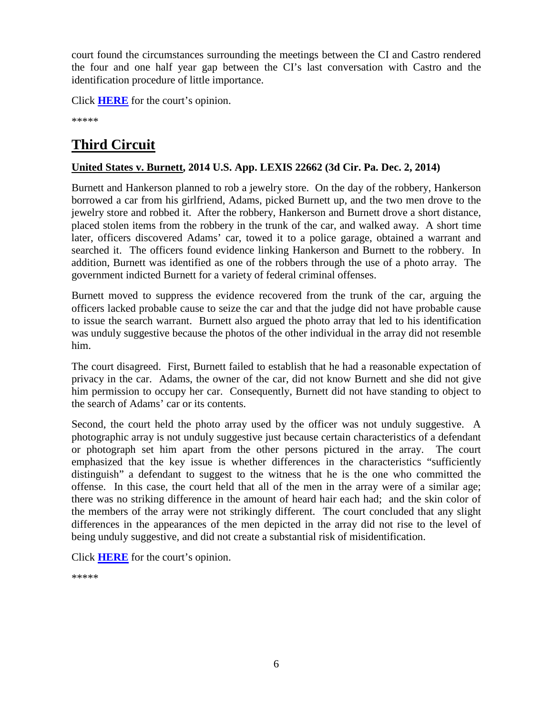court found the circumstances surrounding the meetings between the CI and Castro rendered the four and one half year gap between the CI's last conversation with Castro and the identification procedure of little importance.

Click **[HERE](http://cases.justia.com/federal/appellate-courts/ca1/13-1046/13-1046-2014-12-24.pdf?ts=1419442214)** for the court's opinion.

\*\*\*\*\*

# **Third Circuit**

#### <span id="page-5-0"></span>**United States v. Burnett, 2014 U.S. App. LEXIS 22662 (3d Cir. Pa. Dec. 2, 2014)**

Burnett and Hankerson planned to rob a jewelry store. On the day of the robbery, Hankerson borrowed a car from his girlfriend, Adams, picked Burnett up, and the two men drove to the jewelry store and robbed it. After the robbery, Hankerson and Burnett drove a short distance, placed stolen items from the robbery in the trunk of the car, and walked away. A short time later, officers discovered Adams' car, towed it to a police garage, obtained a warrant and searched it. The officers found evidence linking Hankerson and Burnett to the robbery. In addition, Burnett was identified as one of the robbers through the use of a photo array. The government indicted Burnett for a variety of federal criminal offenses.

Burnett moved to suppress the evidence recovered from the trunk of the car, arguing the officers lacked probable cause to seize the car and that the judge did not have probable cause to issue the search warrant. Burnett also argued the photo array that led to his identification was unduly suggestive because the photos of the other individual in the array did not resemble him.

The court disagreed. First, Burnett failed to establish that he had a reasonable expectation of privacy in the car. Adams, the owner of the car, did not know Burnett and she did not give him permission to occupy her car. Consequently, Burnett did not have standing to object to the search of Adams' car or its contents.

Second, the court held the photo array used by the officer was not unduly suggestive. A photographic array is not unduly suggestive just because certain characteristics of a defendant or photograph set him apart from the other persons pictured in the array. The court emphasized that the key issue is whether differences in the characteristics "sufficiently distinguish" a defendant to suggest to the witness that he is the one who committed the offense. In this case, the court held that all of the men in the array were of a similar age; there was no striking difference in the amount of heard hair each had; and the skin color of the members of the array were not strikingly different. The court concluded that any slight differences in the appearances of the men depicted in the array did not rise to the level of being unduly suggestive, and did not create a substantial risk of misidentification.

Click **[HERE](http://law.justia.com/cases/federal/appellate-courts/ca3/14-1288/14-1288-2014-12-02.html)** for the court's opinion.

\*\*\*\*\*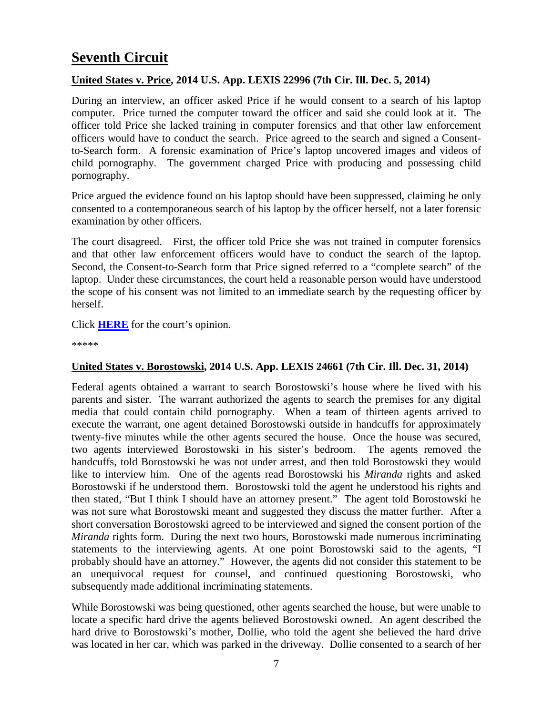# **Seventh Circuit**

#### <span id="page-6-0"></span>**United States v. Price, 2014 U.S. App. LEXIS 22996 (7th Cir. Ill. Dec. 5, 2014)**

During an interview, an officer asked Price if he would consent to a search of his laptop computer. Price turned the computer toward the officer and said she could look at it. The officer told Price she lacked training in computer forensics and that other law enforcement officers would have to conduct the search. Price agreed to the search and signed a Consentto-Search form. A forensic examination of Price's laptop uncovered images and videos of child pornography. The government charged Price with producing and possessing child pornography.

Price argued the evidence found on his laptop should have been suppressed, claiming he only consented to a contemporaneous search of his laptop by the officer herself, not a later forensic examination by other officers.

The court disagreed. First, the officer told Price she was not trained in computer forensics and that other law enforcement officers would have to conduct the search of the laptop. Second, the Consent-to-Search form that Price signed referred to a "complete search" of the laptop. Under these circumstances, the court held a reasonable person would have understood the scope of his consent was not limited to an immediate search by the requesting officer by herself.

#### Click **[HERE](http://cases.justia.com/federal/appellate-courts/ca7/12-1880/12-1880-2014-12-05.pdf?ts=1417811439)** for the court's opinion.

\*\*\*\*\*

#### <span id="page-6-1"></span>**United States v. Borostowski, 2014 U.S. App. LEXIS 24661 (7th Cir. Ill. Dec. 31, 2014)**

Federal agents obtained a warrant to search Borostowski's house where he lived with his parents and sister. The warrant authorized the agents to search the premises for any digital media that could contain child pornography. When a team of thirteen agents arrived to execute the warrant, one agent detained Borostowski outside in handcuffs for approximately twenty-five minutes while the other agents secured the house. Once the house was secured, two agents interviewed Borostowski in his sister's bedroom. The agents removed the handcuffs, told Borostowski he was not under arrest, and then told Borostowski they would like to interview him. One of the agents read Borostowski his *Miranda* rights and asked Borostowski if he understood them. Borostowski told the agent he understood his rights and then stated, "But I think I should have an attorney present." The agent told Borostowski he was not sure what Borostowski meant and suggested they discuss the matter further. After a short conversation Borostowski agreed to be interviewed and signed the consent portion of the *Miranda* rights form. During the next two hours, Borostowski made numerous incriminating statements to the interviewing agents. At one point Borostowski said to the agents, "I probably should have an attorney." However, the agents did not consider this statement to be an unequivocal request for counsel, and continued questioning Borostowski, who subsequently made additional incriminating statements.

While Borostowski was being questioned, other agents searched the house, but were unable to locate a specific hard drive the agents believed Borostowski owned. An agent described the hard drive to Borostowski's mother, Dollie, who told the agent she believed the hard drive was located in her car, which was parked in the driveway. Dollie consented to a search of her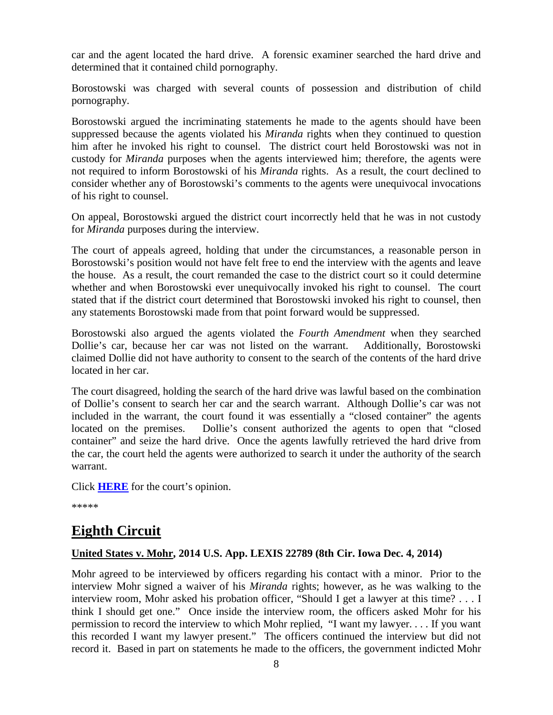car and the agent located the hard drive. A forensic examiner searched the hard drive and determined that it contained child pornography.

Borostowski was charged with several counts of possession and distribution of child pornography.

Borostowski argued the incriminating statements he made to the agents should have been suppressed because the agents violated his *Miranda* rights when they continued to question him after he invoked his right to counsel. The district court held Borostowski was not in custody for *Miranda* purposes when the agents interviewed him; therefore, the agents were not required to inform Borostowski of his *Miranda* rights. As a result, the court declined to consider whether any of Borostowski's comments to the agents were unequivocal invocations of his right to counsel.

On appeal, Borostowski argued the district court incorrectly held that he was in not custody for *Miranda* purposes during the interview.

The court of appeals agreed, holding that under the circumstances, a reasonable person in Borostowski's position would not have felt free to end the interview with the agents and leave the house. As a result, the court remanded the case to the district court so it could determine whether and when Borostowski ever unequivocally invoked his right to counsel. The court stated that if the district court determined that Borostowski invoked his right to counsel, then any statements Borostowski made from that point forward would be suppressed.

Borostowski also argued the agents violated the *Fourth Amendment* when they searched Dollie's car, because her car was not listed on the warrant. Additionally, Borostowski claimed Dollie did not have authority to consent to the search of the contents of the hard drive located in her car.

The court disagreed, holding the search of the hard drive was lawful based on the combination of Dollie's consent to search her car and the search warrant. Although Dollie's car was not included in the warrant, the court found it was essentially a "closed container" the agents located on the premises. Dollie's consent authorized the agents to open that "closed container" and seize the hard drive. Once the agents lawfully retrieved the hard drive from the car, the court held the agents were authorized to search it under the authority of the search warrant.

Click **[HERE](http://cases.justia.com/federal/appellate-courts/ca7/13-3811/13-3811-2014-12-31.pdf?ts=1420059677)** for the court's opinion.

\*\*\*\*\*

## <span id="page-7-0"></span>**Eighth Circuit**

#### <span id="page-7-1"></span>**United States v. Mohr, 2014 U.S. App. LEXIS 22789 (8th Cir. Iowa Dec. 4, 2014)**

Mohr agreed to be interviewed by officers regarding his contact with a minor. Prior to the interview Mohr signed a waiver of his *Miranda* rights; however, as he was walking to the interview room, Mohr asked his probation officer, "Should I get a lawyer at this time? . . . I think I should get one." Once inside the interview room, the officers asked Mohr for his permission to record the interview to which Mohr replied, "I want my lawyer. . . . If you want this recorded I want my lawyer present." The officers continued the interview but did not record it. Based in part on statements he made to the officers, the government indicted Mohr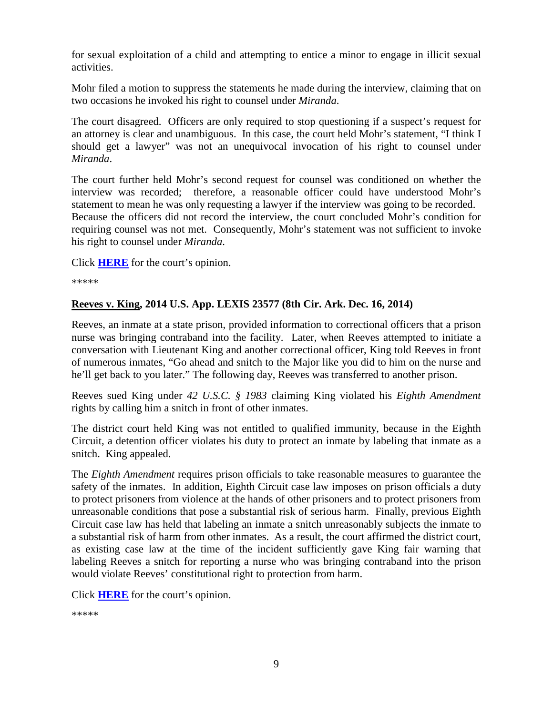for sexual exploitation of a child and attempting to entice a minor to engage in illicit sexual activities.

Mohr filed a motion to suppress the statements he made during the interview, claiming that on two occasions he invoked his right to counsel under *Miranda*.

The court disagreed. Officers are only required to stop questioning if a suspect's request for an attorney is clear and unambiguous. In this case, the court held Mohr's statement, "I think I should get a lawyer" was not an unequivocal invocation of his right to counsel under *Miranda*.

The court further held Mohr's second request for counsel was conditioned on whether the interview was recorded; therefore, a reasonable officer could have understood Mohr's statement to mean he was only requesting a lawyer if the interview was going to be recorded. Because the officers did not record the interview, the court concluded Mohr's condition for requiring counsel was not met. Consequently, Mohr's statement was not sufficient to invoke his right to counsel under *Miranda*.

Click **[HERE](http://cases.justia.com/federal/appellate-courts/ca8/14-1675/14-1675-2014-12-04.pdf?ts=1417708910)** for the court's opinion.

\*\*\*\*\*

#### <span id="page-8-0"></span>**Reeves v. King, 2014 U.S. App. LEXIS 23577 (8th Cir. Ark. Dec. 16, 2014)**

Reeves, an inmate at a state prison, provided information to correctional officers that a prison nurse was bringing contraband into the facility. Later, when Reeves attempted to initiate a conversation with Lieutenant King and another correctional officer, King told Reeves in front of numerous inmates, "Go ahead and snitch to the Major like you did to him on the nurse and he'll get back to you later." The following day, Reeves was transferred to another prison.

Reeves sued King under *42 U.S.C. § 1983* claiming King violated his *Eighth Amendment* rights by calling him a snitch in front of other inmates.

The district court held King was not entitled to qualified immunity, because in the Eighth Circuit, a detention officer violates his duty to protect an inmate by labeling that inmate as a snitch. King appealed.

The *Eighth Amendment* requires prison officials to take reasonable measures to guarantee the safety of the inmates. In addition, Eighth Circuit case law imposes on prison officials a duty to protect prisoners from violence at the hands of other prisoners and to protect prisoners from unreasonable conditions that pose a substantial risk of serious harm. Finally, previous Eighth Circuit case law has held that labeling an inmate a snitch unreasonably subjects the inmate to a substantial risk of harm from other inmates. As a result, the court affirmed the district court, as existing case law at the time of the incident sufficiently gave King fair warning that labeling Reeves a snitch for reporting a nurse who was bringing contraband into the prison would violate Reeves' constitutional right to protection from harm.

Click **[HERE](http://cases.justia.com/federal/appellate-courts/ca8/13-3416/13-3416-2014-12-16.pdf?ts=1418747497)** for the court's opinion.

\*\*\*\*\*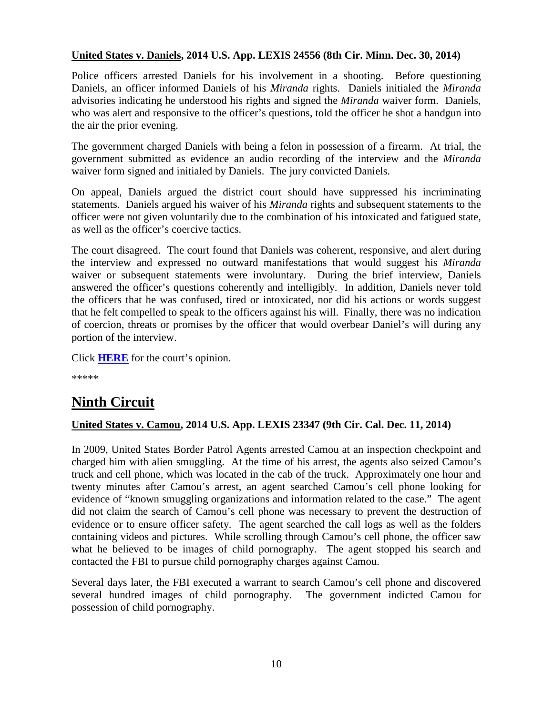#### <span id="page-9-0"></span>**United States v. Daniels, 2014 U.S. App. LEXIS 24556 (8th Cir. Minn. Dec. 30, 2014)**

Police officers arrested Daniels for his involvement in a shooting. Before questioning Daniels, an officer informed Daniels of his *Miranda* rights. Daniels initialed the *Miranda*  advisories indicating he understood his rights and signed the *Miranda* waiver form. Daniels, who was alert and responsive to the officer's questions, told the officer he shot a handgun into the air the prior evening.

The government charged Daniels with being a felon in possession of a firearm. At trial, the government submitted as evidence an audio recording of the interview and the *Miranda*  waiver form signed and initialed by Daniels. The jury convicted Daniels.

On appeal, Daniels argued the district court should have suppressed his incriminating statements. Daniels argued his waiver of his *Miranda* rights and subsequent statements to the officer were not given voluntarily due to the combination of his intoxicated and fatigued state, as well as the officer's coercive tactics.

The court disagreed. The court found that Daniels was coherent, responsive, and alert during the interview and expressed no outward manifestations that would suggest his *Miranda* waiver or subsequent statements were involuntary. During the brief interview, Daniels answered the officer's questions coherently and intelligibly. In addition, Daniels never told the officers that he was confused, tired or intoxicated, nor did his actions or words suggest that he felt compelled to speak to the officers against his will. Finally, there was no indication of coercion, threats or promises by the officer that would overbear Daniel's will during any portion of the interview.

Click **[HERE](http://cases.justia.com/federal/appellate-courts/ca8/13-3481/13-3481-2014-12-30.pdf?ts=1419957081)** for the court's opinion.

\*\*\*\*\*

# **Ninth Circuit**

#### <span id="page-9-1"></span>**United States v. Camou, 2014 U.S. App. LEXIS 23347 (9th Cir. Cal. Dec. 11, 2014)**

In 2009, United States Border Patrol Agents arrested Camou at an inspection checkpoint and charged him with alien smuggling. At the time of his arrest, the agents also seized Camou's truck and cell phone, which was located in the cab of the truck. Approximately one hour and twenty minutes after Camou's arrest, an agent searched Camou's cell phone looking for evidence of "known smuggling organizations and information related to the case." The agent did not claim the search of Camou's cell phone was necessary to prevent the destruction of evidence or to ensure officer safety. The agent searched the call logs as well as the folders containing videos and pictures. While scrolling through Camou's cell phone, the officer saw what he believed to be images of child pornography. The agent stopped his search and contacted the FBI to pursue child pornography charges against Camou.

Several days later, the FBI executed a warrant to search Camou's cell phone and discovered several hundred images of child pornography. The government indicted Camou for possession of child pornography.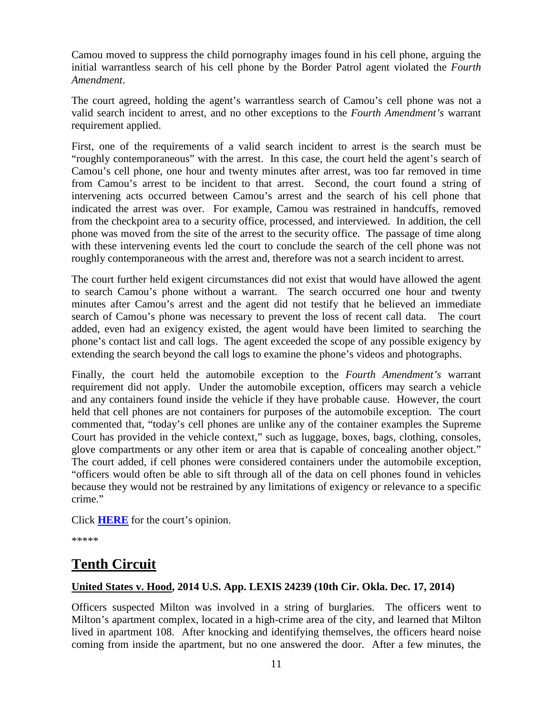Camou moved to suppress the child pornography images found in his cell phone, arguing the initial warrantless search of his cell phone by the Border Patrol agent violated the *Fourth Amendment*.

The court agreed, holding the agent's warrantless search of Camou's cell phone was not a valid search incident to arrest, and no other exceptions to the *Fourth Amendment's* warrant requirement applied.

First, one of the requirements of a valid search incident to arrest is the search must be "roughly contemporaneous" with the arrest. In this case, the court held the agent's search of Camou's cell phone, one hour and twenty minutes after arrest, was too far removed in time from Camou's arrest to be incident to that arrest. Second, the court found a string of intervening acts occurred between Camou's arrest and the search of his cell phone that indicated the arrest was over. For example, Camou was restrained in handcuffs, removed from the checkpoint area to a security office, processed, and interviewed. In addition, the cell phone was moved from the site of the arrest to the security office. The passage of time along with these intervening events led the court to conclude the search of the cell phone was not roughly contemporaneous with the arrest and, therefore was not a search incident to arrest.

The court further held exigent circumstances did not exist that would have allowed the agent to search Camou's phone without a warrant. The search occurred one hour and twenty minutes after Camou's arrest and the agent did not testify that he believed an immediate search of Camou's phone was necessary to prevent the loss of recent call data. The court added, even had an exigency existed, the agent would have been limited to searching the phone's contact list and call logs. The agent exceeded the scope of any possible exigency by extending the search beyond the call logs to examine the phone's videos and photographs.

Finally, the court held the automobile exception to the *Fourth Amendment's* warrant requirement did not apply. Under the automobile exception, officers may search a vehicle and any containers found inside the vehicle if they have probable cause. However, the court held that cell phones are not containers for purposes of the automobile exception. The court commented that, "today's cell phones are unlike any of the container examples the Supreme Court has provided in the vehicle context," such as luggage, boxes, bags, clothing, consoles, glove compartments or any other item or area that is capable of concealing another object." The court added, if cell phones were considered containers under the automobile exception, "officers would often be able to sift through all of the data on cell phones found in vehicles because they would not be restrained by any limitations of exigency or relevance to a specific crime."

Click **[HERE](http://cases.justia.com/federal/appellate-courts/ca9/12-50598/12-50598-2014-12-11.pdf?ts=1418320851)** for the court's opinion.

\*\*\*\*\*

# **Tenth Circuit**

#### <span id="page-10-0"></span>**United States v. Hood, 2014 U.S. App. LEXIS 24239 (10th Cir. Okla. Dec. 17, 2014)**

Officers suspected Milton was involved in a string of burglaries. The officers went to Milton's apartment complex, located in a high-crime area of the city, and learned that Milton lived in apartment 108. After knocking and identifying themselves, the officers heard noise coming from inside the apartment, but no one answered the door. After a few minutes, the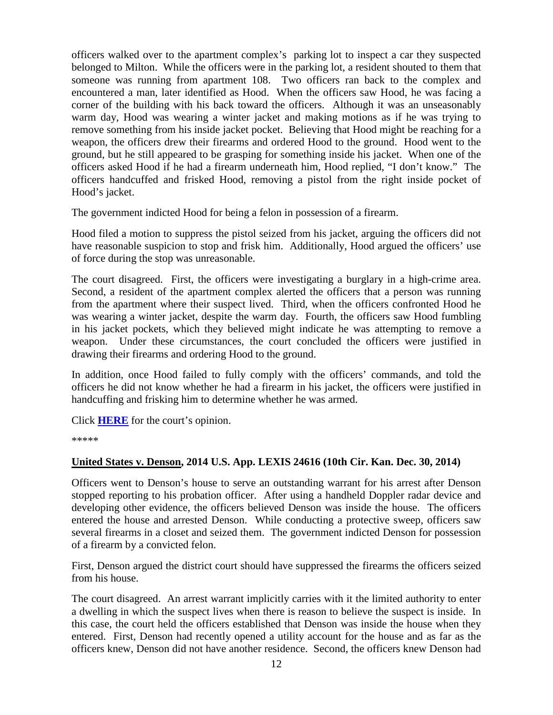officers walked over to the apartment complex's parking lot to inspect a car they suspected belonged to Milton. While the officers were in the parking lot, a resident shouted to them that someone was running from apartment 108. Two officers ran back to the complex and encountered a man, later identified as Hood. When the officers saw Hood, he was facing a corner of the building with his back toward the officers. Although it was an unseasonably warm day, Hood was wearing a winter jacket and making motions as if he was trying to remove something from his inside jacket pocket. Believing that Hood might be reaching for a weapon, the officers drew their firearms and ordered Hood to the ground. Hood went to the ground, but he still appeared to be grasping for something inside his jacket. When one of the officers asked Hood if he had a firearm underneath him, Hood replied, "I don't know." The officers handcuffed and frisked Hood, removing a pistol from the right inside pocket of Hood's jacket.

The government indicted Hood for being a felon in possession of a firearm.

Hood filed a motion to suppress the pistol seized from his jacket, arguing the officers did not have reasonable suspicion to stop and frisk him. Additionally, Hood argued the officers' use of force during the stop was unreasonable.

The court disagreed. First, the officers were investigating a burglary in a high-crime area. Second, a resident of the apartment complex alerted the officers that a person was running from the apartment where their suspect lived. Third, when the officers confronted Hood he was wearing a winter jacket, despite the warm day. Fourth, the officers saw Hood fumbling in his jacket pockets, which they believed might indicate he was attempting to remove a weapon. Under these circumstances, the court concluded the officers were justified in drawing their firearms and ordering Hood to the ground.

In addition, once Hood failed to fully comply with the officers' commands, and told the officers he did not know whether he had a firearm in his jacket, the officers were justified in handcuffing and frisking him to determine whether he was armed.

Click **[HERE](http://cases.justia.com/federal/appellate-courts/ca10/13-6182/13-6182-2014-12-17.pdf?ts=1418835718)** for the court's opinion.

\*\*\*\*\*

#### <span id="page-11-0"></span>**United States v. Denson, 2014 U.S. App. LEXIS 24616 (10th Cir. Kan. Dec. 30, 2014)**

Officers went to Denson's house to serve an outstanding warrant for his arrest after Denson stopped reporting to his probation officer. After using a handheld Doppler radar device and developing other evidence, the officers believed Denson was inside the house. The officers entered the house and arrested Denson. While conducting a protective sweep, officers saw several firearms in a closet and seized them. The government indicted Denson for possession of a firearm by a convicted felon.

First, Denson argued the district court should have suppressed the firearms the officers seized from his house.

The court disagreed. An arrest warrant implicitly carries with it the limited authority to enter a dwelling in which the suspect lives when there is reason to believe the suspect is inside. In this case, the court held the officers established that Denson was inside the house when they entered. First, Denson had recently opened a utility account for the house and as far as the officers knew, Denson did not have another residence. Second, the officers knew Denson had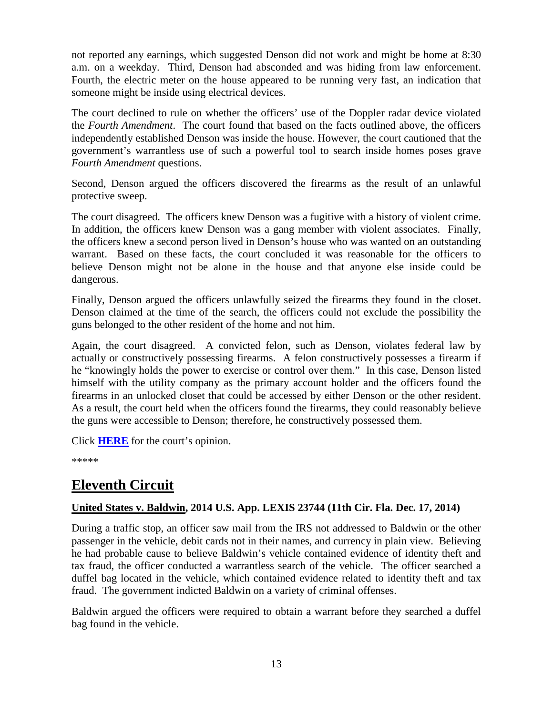not reported any earnings, which suggested Denson did not work and might be home at 8:30 a.m. on a weekday. Third, Denson had absconded and was hiding from law enforcement. Fourth, the electric meter on the house appeared to be running very fast, an indication that someone might be inside using electrical devices.

The court declined to rule on whether the officers' use of the Doppler radar device violated the *Fourth Amendment*. The court found that based on the facts outlined above, the officers independently established Denson was inside the house. However, the court cautioned that the government's warrantless use of such a powerful tool to search inside homes poses grave *Fourth Amendment* questions.

Second, Denson argued the officers discovered the firearms as the result of an unlawful protective sweep.

The court disagreed. The officers knew Denson was a fugitive with a history of violent crime. In addition, the officers knew Denson was a gang member with violent associates. Finally, the officers knew a second person lived in Denson's house who was wanted on an outstanding warrant. Based on these facts, the court concluded it was reasonable for the officers to believe Denson might not be alone in the house and that anyone else inside could be dangerous.

Finally, Denson argued the officers unlawfully seized the firearms they found in the closet. Denson claimed at the time of the search, the officers could not exclude the possibility the guns belonged to the other resident of the home and not him.

Again, the court disagreed. A convicted felon, such as Denson, violates federal law by actually or constructively possessing firearms. A felon constructively possesses a firearm if he "knowingly holds the power to exercise or control over them." In this case, Denson listed himself with the utility company as the primary account holder and the officers found the firearms in an unlocked closet that could be accessed by either Denson or the other resident. As a result, the court held when the officers found the firearms, they could reasonably believe the guns were accessible to Denson; therefore, he constructively possessed them.

Click **[HERE](http://cases.justia.com/federal/appellate-courts/ca10/13-3329/13-3329-2014-12-30.pdf?ts=1419958929)** for the court's opinion.

\*\*\*\*\*

# **Eleventh Circuit**

#### <span id="page-12-0"></span>**United States v. Baldwin, 2014 U.S. App. LEXIS 23744 (11th Cir. Fla. Dec. 17, 2014)**

During a traffic stop, an officer saw mail from the IRS not addressed to Baldwin or the other passenger in the vehicle, debit cards not in their names, and currency in plain view. Believing he had probable cause to believe Baldwin's vehicle contained evidence of identity theft and tax fraud, the officer conducted a warrantless search of the vehicle. The officer searched a duffel bag located in the vehicle, which contained evidence related to identity theft and tax fraud. The government indicted Baldwin on a variety of criminal offenses.

Baldwin argued the officers were required to obtain a warrant before they searched a duffel bag found in the vehicle.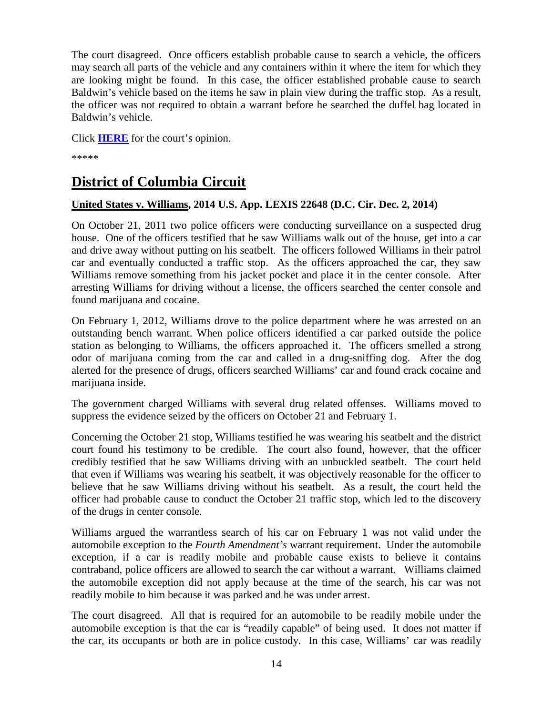The court disagreed. Once officers establish probable cause to search a vehicle, the officers may search all parts of the vehicle and any containers within it where the item for which they are looking might be found. In this case, the officer established probable cause to search Baldwin's vehicle based on the items he saw in plain view during the traffic stop. As a result, the officer was not required to obtain a warrant before he searched the duffel bag located in Baldwin's vehicle.

Click **[HERE](http://cases.justia.com/federal/appellate-courts/ca11/13-12973/13-12973-2014-12-17.pdf?ts=1418851865)** for the court's opinion.

\*\*\*\*\*

# **District of Columbia Circuit**

#### <span id="page-13-0"></span>**United States v. Williams, 2014 U.S. App. LEXIS 22648 (D.C. Cir. Dec. 2, 2014)**

On October 21, 2011 two police officers were conducting surveillance on a suspected drug house. One of the officers testified that he saw Williams walk out of the house, get into a car and drive away without putting on his seatbelt. The officers followed Williams in their patrol car and eventually conducted a traffic stop. As the officers approached the car, they saw Williams remove something from his jacket pocket and place it in the center console. After arresting Williams for driving without a license, the officers searched the center console and found marijuana and cocaine.

On February 1, 2012, Williams drove to the police department where he was arrested on an outstanding bench warrant. When police officers identified a car parked outside the police station as belonging to Williams, the officers approached it. The officers smelled a strong odor of marijuana coming from the car and called in a drug-sniffing dog. After the dog alerted for the presence of drugs, officers searched Williams' car and found crack cocaine and marijuana inside.

The government charged Williams with several drug related offenses. Williams moved to suppress the evidence seized by the officers on October 21 and February 1.

Concerning the October 21 stop, Williams testified he was wearing his seatbelt and the district court found his testimony to be credible. The court also found, however, that the officer credibly testified that he saw Williams driving with an unbuckled seatbelt. The court held that even if Williams was wearing his seatbelt, it was objectively reasonable for the officer to believe that he saw Williams driving without his seatbelt. As a result, the court held the officer had probable cause to conduct the October 21 traffic stop, which led to the discovery of the drugs in center console.

Williams argued the warrantless search of his car on February 1 was not valid under the automobile exception to the *Fourth Amendment's* warrant requirement. Under the automobile exception, if a car is readily mobile and probable cause exists to believe it contains contraband, police officers are allowed to search the car without a warrant. Williams claimed the automobile exception did not apply because at the time of the search, his car was not readily mobile to him because it was parked and he was under arrest.

The court disagreed. All that is required for an automobile to be readily mobile under the automobile exception is that the car is "readily capable" of being used. It does not matter if the car, its occupants or both are in police custody. In this case, Williams' car was readily